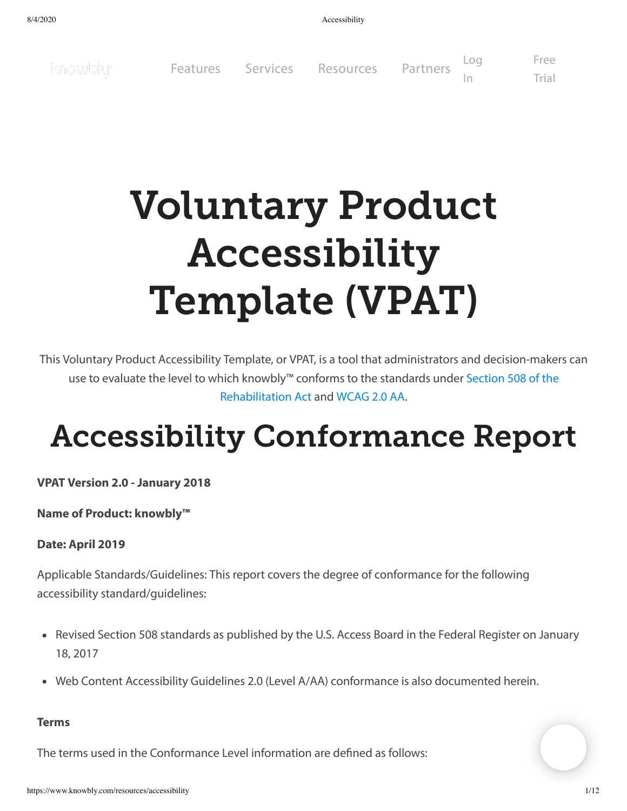8/4/2020 Accessibility

[Log](https://knowblyapp.com/login) [Free](https://www.knowbly.com/forms/free-trial) knowbly<sup>\*</sup> [Features](https://www.knowbly.com/features) [Services](https://www.knowbly.com/services) Resources PartnersTrial In

# Voluntary Product Accessibility Template (VPAT)

This Voluntary Product Accessibility Template, or VPAT, is a tool that administrators and decision-makers can use to evaluate the level to which knowbly™ conforms to the standards under Section 508 of the [Rehabilitation](https://www.section508.gov/) Act and [WCAG](https://www.w3.org/TR/WCAG20/) 2.0 AA.

# Accessibility Conformance Report

**VPAT Version 2.0 - January 2018**

**Name of Product: knowbly™**

#### **Date: April 2019**

Applicable Standards/Guidelines: This report covers the degree of conformance for the following accessibility standard/guidelines:

- Revised Section 508 standards as published by the U.S. Access Board in the Federal Register on January 18, 2017
- Web Content Accessibility Guidelines 2.0 (Level A/AA) conformance is also documented herein.

#### **Terms**

The terms used in the Conformance Level information are defined as follows: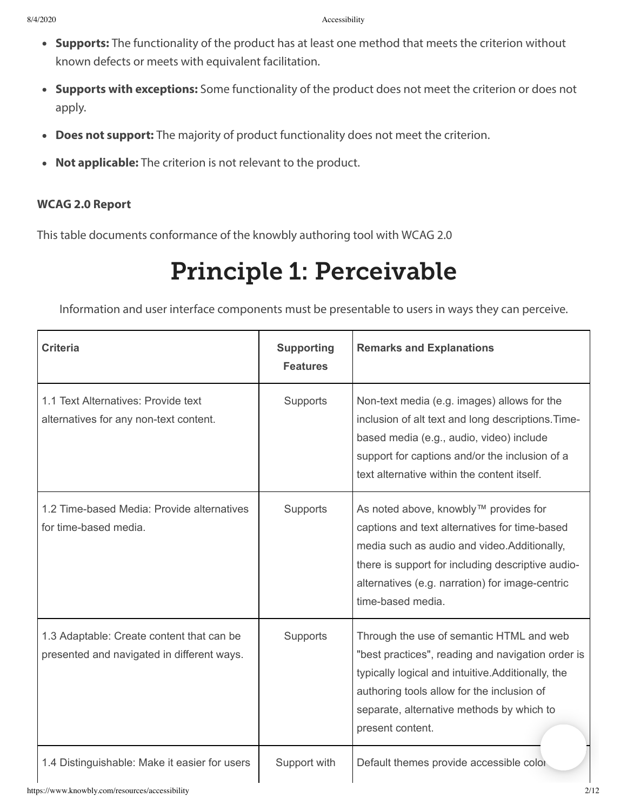- **Supports:** The functionality of the product has at least one method that meets the criterion without known defects or meets with equivalent facilitation.
- **Supports with exceptions:** Some functionality of the product does not meet the criterion or does not apply.
- **Does not support:** The majority of product functionality does not meet the criterion.
- **Not applicable:** The criterion is not relevant to the product.

#### **WCAG 2.0 Report**

This table documents conformance of the knowbly authoring tool with WCAG 2.0

### Principle 1: Perceivable

Information and user interface components must be presentable to users in ways they can perceive.

| <b>Criteria</b>                                                                         | <b>Supporting</b><br><b>Features</b> | <b>Remarks and Explanations</b>                                                                                                                                                                                                                                     |
|-----------------------------------------------------------------------------------------|--------------------------------------|---------------------------------------------------------------------------------------------------------------------------------------------------------------------------------------------------------------------------------------------------------------------|
| 1.1 Text Alternatives: Provide text<br>alternatives for any non-text content.           | Supports                             | Non-text media (e.g. images) allows for the<br>inclusion of alt text and long descriptions. Time-<br>based media (e.g., audio, video) include<br>support for captions and/or the inclusion of a<br>text alternative within the content itself.                      |
| 1.2 Time-based Media: Provide alternatives<br>for time-based media.                     | Supports                             | As noted above, knowbly™ provides for<br>captions and text alternatives for time-based<br>media such as audio and video. Additionally,<br>there is support for including descriptive audio-<br>alternatives (e.g. narration) for image-centric<br>time-based media. |
| 1.3 Adaptable: Create content that can be<br>presented and navigated in different ways. | Supports                             | Through the use of semantic HTML and web<br>"best practices", reading and navigation order is<br>typically logical and intuitive.Additionally, the<br>authoring tools allow for the inclusion of<br>separate, alternative methods by which to<br>present content.   |
| 1.4 Distinguishable: Make it easier for users                                           | Support with                         | Default themes provide accessible color                                                                                                                                                                                                                             |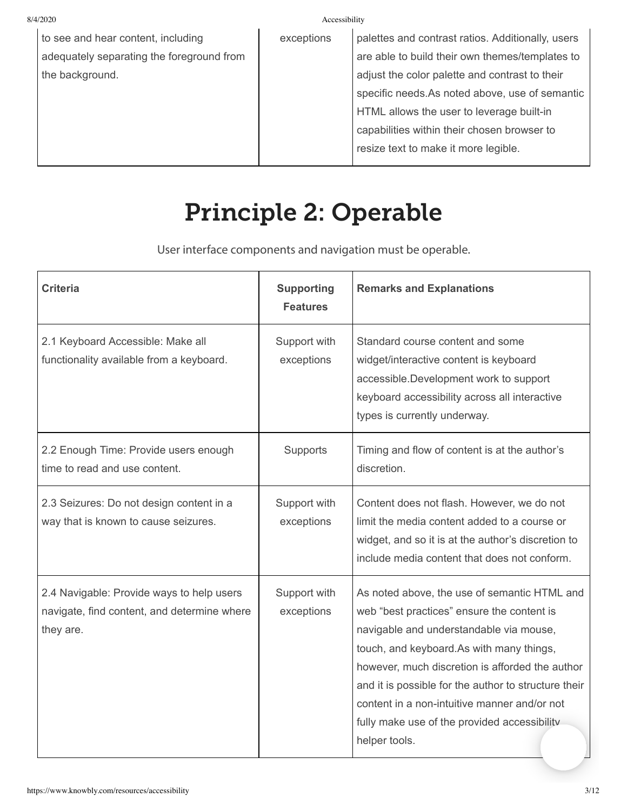| 8/4/2020<br>Accessibility                 |            |                                                   |
|-------------------------------------------|------------|---------------------------------------------------|
| to see and hear content, including        | exceptions | palettes and contrast ratios. Additionally, users |
| adequately separating the foreground from |            | are able to build their own themes/templates to   |
| the background.                           |            | adjust the color palette and contrast to their    |
|                                           |            | specific needs.As noted above, use of semantic    |
|                                           |            | HTML allows the user to leverage built-in         |
|                                           |            | capabilities within their chosen browser to       |
|                                           |            | resize text to make it more legible.              |
|                                           |            |                                                   |

### Principle 2: Operable

User interface components and navigation must be operable.

| <b>Criteria</b>                                                                                       | <b>Supporting</b><br><b>Features</b> | <b>Remarks and Explanations</b>                                                                                                                                                                                                                                                                                                                                                                               |
|-------------------------------------------------------------------------------------------------------|--------------------------------------|---------------------------------------------------------------------------------------------------------------------------------------------------------------------------------------------------------------------------------------------------------------------------------------------------------------------------------------------------------------------------------------------------------------|
| 2.1 Keyboard Accessible: Make all<br>functionality available from a keyboard.                         | Support with<br>exceptions           | Standard course content and some<br>widget/interactive content is keyboard<br>accessible. Development work to support<br>keyboard accessibility across all interactive<br>types is currently underway.                                                                                                                                                                                                        |
| 2.2 Enough Time: Provide users enough<br>time to read and use content.                                | Supports                             | Timing and flow of content is at the author's<br>discretion.                                                                                                                                                                                                                                                                                                                                                  |
| 2.3 Seizures: Do not design content in a<br>way that is known to cause seizures.                      | Support with<br>exceptions           | Content does not flash. However, we do not<br>limit the media content added to a course or<br>widget, and so it is at the author's discretion to<br>include media content that does not conform.                                                                                                                                                                                                              |
| 2.4 Navigable: Provide ways to help users<br>navigate, find content, and determine where<br>they are. | Support with<br>exceptions           | As noted above, the use of semantic HTML and<br>web "best practices" ensure the content is<br>navigable and understandable via mouse,<br>touch, and keyboard.As with many things,<br>however, much discretion is afforded the author<br>and it is possible for the author to structure their<br>content in a non-intuitive manner and/or not<br>fully make use of the provided accessibility<br>helper tools. |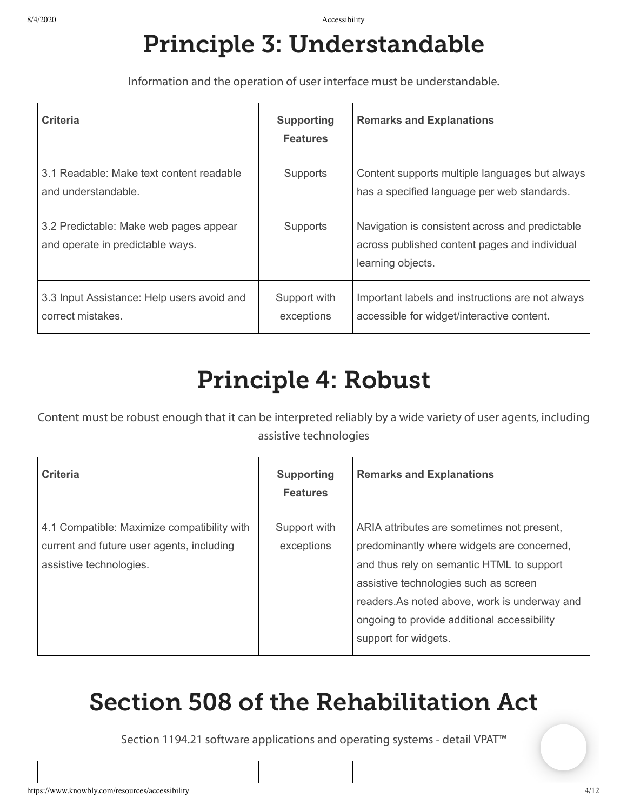### Principle 3: Understandable

Information and the operation of user interface must be understandable.

| <b>Criteria</b>                                                            | <b>Supporting</b><br><b>Features</b> | <b>Remarks and Explanations</b>                                                                                       |
|----------------------------------------------------------------------------|--------------------------------------|-----------------------------------------------------------------------------------------------------------------------|
| 3.1 Readable: Make text content readable<br>and understandable.            | <b>Supports</b>                      | Content supports multiple languages but always<br>has a specified language per web standards.                         |
| 3.2 Predictable: Make web pages appear<br>and operate in predictable ways. | <b>Supports</b>                      | Navigation is consistent across and predictable<br>across published content pages and individual<br>learning objects. |
| 3.3 Input Assistance: Help users avoid and<br>correct mistakes.            | Support with<br>exceptions           | Important labels and instructions are not always<br>accessible for widget/interactive content.                        |

### Principle 4: Robust

Content must be robust enough that it can be interpreted reliably by a wide variety of user agents, including assistive technologies

| <b>Criteria</b>                                                                                                     | <b>Supporting</b><br><b>Features</b> | <b>Remarks and Explanations</b>                                                                                                                                                                                                                                                                       |
|---------------------------------------------------------------------------------------------------------------------|--------------------------------------|-------------------------------------------------------------------------------------------------------------------------------------------------------------------------------------------------------------------------------------------------------------------------------------------------------|
| 4.1 Compatible: Maximize compatibility with<br>current and future user agents, including<br>assistive technologies. | Support with<br>exceptions           | ARIA attributes are sometimes not present,<br>predominantly where widgets are concerned,<br>and thus rely on semantic HTML to support<br>assistive technologies such as screen<br>readers.As noted above, work is underway and<br>ongoing to provide additional accessibility<br>support for widgets. |

### Section 508 of the Rehabilitation Act

Section 1194.21 software applications and operating systems - detail VPAT™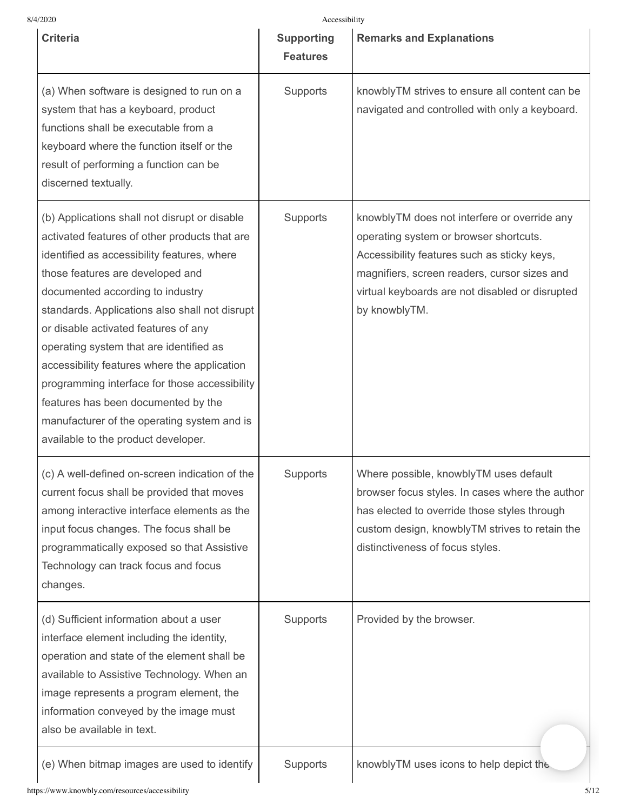| 8/4/2020                                                                                                                                                                                                                                                                                                                                                                                                                                                                                                                                                                                 | Accessibility                        |                                                                                                                                                                                                                                                           |
|------------------------------------------------------------------------------------------------------------------------------------------------------------------------------------------------------------------------------------------------------------------------------------------------------------------------------------------------------------------------------------------------------------------------------------------------------------------------------------------------------------------------------------------------------------------------------------------|--------------------------------------|-----------------------------------------------------------------------------------------------------------------------------------------------------------------------------------------------------------------------------------------------------------|
| <b>Criteria</b>                                                                                                                                                                                                                                                                                                                                                                                                                                                                                                                                                                          | <b>Supporting</b><br><b>Features</b> | <b>Remarks and Explanations</b>                                                                                                                                                                                                                           |
| (a) When software is designed to run on a<br>system that has a keyboard, product<br>functions shall be executable from a<br>keyboard where the function itself or the<br>result of performing a function can be<br>discerned textually.                                                                                                                                                                                                                                                                                                                                                  | Supports                             | knowblyTM strives to ensure all content can be<br>navigated and controlled with only a keyboard.                                                                                                                                                          |
| (b) Applications shall not disrupt or disable<br>activated features of other products that are<br>identified as accessibility features, where<br>those features are developed and<br>documented according to industry<br>standards. Applications also shall not disrupt<br>or disable activated features of any<br>operating system that are identified as<br>accessibility features where the application<br>programming interface for those accessibility<br>features has been documented by the<br>manufacturer of the operating system and is<br>available to the product developer. | Supports                             | knowblyTM does not interfere or override any<br>operating system or browser shortcuts.<br>Accessibility features such as sticky keys,<br>magnifiers, screen readers, cursor sizes and<br>virtual keyboards are not disabled or disrupted<br>by knowblyTM. |
| (c) A well-defined on-screen indication of the<br>current focus shall be provided that moves<br>among interactive interface elements as the<br>input focus changes. The focus shall be<br>programmatically exposed so that Assistive<br>Technology can track focus and focus<br>changes.                                                                                                                                                                                                                                                                                                 | Supports                             | Where possible, knowblyTM uses default<br>browser focus styles. In cases where the author<br>has elected to override those styles through<br>custom design, knowblyTM strives to retain the<br>distinctiveness of focus styles.                           |
| (d) Sufficient information about a user<br>interface element including the identity,<br>operation and state of the element shall be<br>available to Assistive Technology. When an<br>image represents a program element, the<br>information conveyed by the image must<br>also be available in text.                                                                                                                                                                                                                                                                                     | Supports                             | Provided by the browser.                                                                                                                                                                                                                                  |
| (e) When bitmap images are used to identify                                                                                                                                                                                                                                                                                                                                                                                                                                                                                                                                              | Supports                             | knowblyTM uses icons to help depict the                                                                                                                                                                                                                   |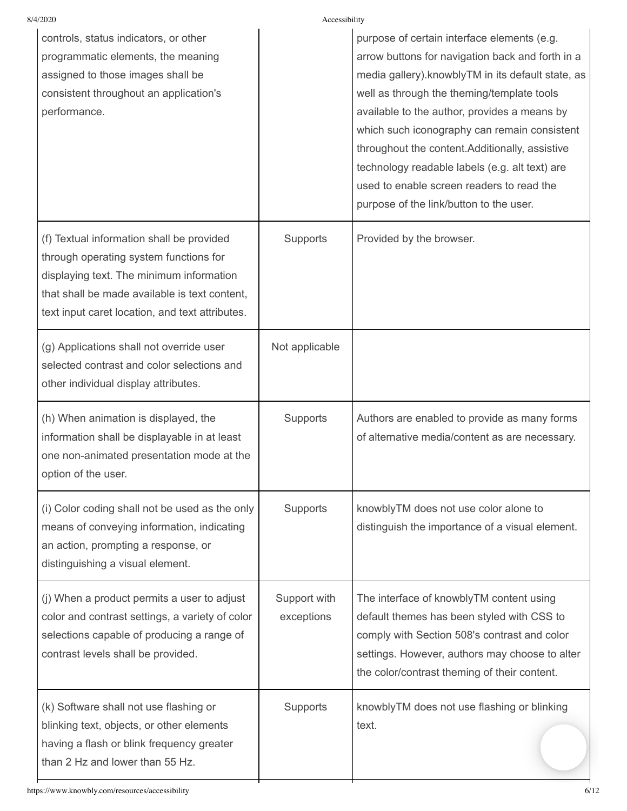|                            | purpose of certain interface elements (e.g.<br>arrow buttons for navigation back and forth in a<br>media gallery). knowbly TM in its default state, as<br>well as through the theming/template tools<br>available to the author, provides a means by<br>which such iconography can remain consistent<br>throughout the content.Additionally, assistive<br>technology readable labels (e.g. alt text) are<br>used to enable screen readers to read the<br>purpose of the link/button to the user. |
|----------------------------|--------------------------------------------------------------------------------------------------------------------------------------------------------------------------------------------------------------------------------------------------------------------------------------------------------------------------------------------------------------------------------------------------------------------------------------------------------------------------------------------------|
| Supports                   | Provided by the browser.                                                                                                                                                                                                                                                                                                                                                                                                                                                                         |
| Not applicable             |                                                                                                                                                                                                                                                                                                                                                                                                                                                                                                  |
| Supports                   | Authors are enabled to provide as many forms<br>of alternative media/content as are necessary.                                                                                                                                                                                                                                                                                                                                                                                                   |
| Supports                   | knowblyTM does not use color alone to<br>distinguish the importance of a visual element.                                                                                                                                                                                                                                                                                                                                                                                                         |
| Support with<br>exceptions | The interface of knowblyTM content using<br>default themes has been styled with CSS to<br>comply with Section 508's contrast and color<br>settings. However, authors may choose to alter<br>the color/contrast theming of their content.                                                                                                                                                                                                                                                         |
| Supports                   | knowblyTM does not use flashing or blinking<br>text.                                                                                                                                                                                                                                                                                                                                                                                                                                             |
|                            | Accessibility                                                                                                                                                                                                                                                                                                                                                                                                                                                                                    |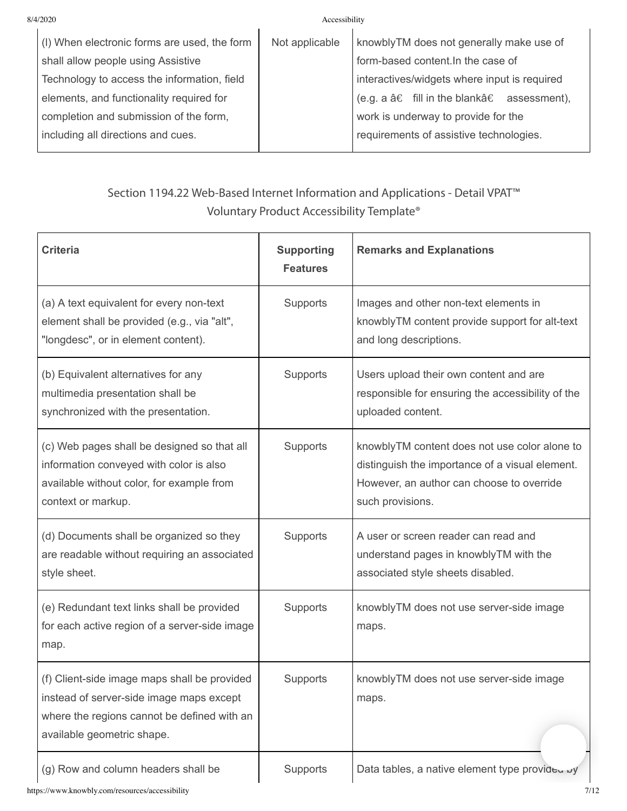Accessibility

| (I) When electronic forms are used, the form | Not applicable | knowblyTM does not generally make use of         |
|----------------------------------------------|----------------|--------------------------------------------------|
| shall allow people using Assistive           |                | form-based content. In the case of               |
| Technology to access the information, field  |                | interactives/widgets where input is required     |
| elements, and functionality required for     |                | (e.g. a $â€$ fill in the blank $â€$ assessment), |
| completion and submission of the form,       |                | work is underway to provide for the              |
| including all directions and cues.           |                | requirements of assistive technologies.          |
|                                              |                |                                                  |

### Section 1194.22 Web-Based Internet Information and Applications - Detail VPAT™ Voluntary Product Accessibility Template®

| <b>Criteria</b>                                                                                                                                                       | <b>Supporting</b><br><b>Features</b> | <b>Remarks and Explanations</b>                                                                                                                                   |
|-----------------------------------------------------------------------------------------------------------------------------------------------------------------------|--------------------------------------|-------------------------------------------------------------------------------------------------------------------------------------------------------------------|
| (a) A text equivalent for every non-text<br>element shall be provided (e.g., via "alt",<br>"longdesc", or in element content).                                        | Supports                             | Images and other non-text elements in<br>knowblyTM content provide support for alt-text<br>and long descriptions.                                                 |
| (b) Equivalent alternatives for any<br>multimedia presentation shall be<br>synchronized with the presentation.                                                        | Supports                             | Users upload their own content and are<br>responsible for ensuring the accessibility of the<br>uploaded content.                                                  |
| (c) Web pages shall be designed so that all<br>information conveyed with color is also<br>available without color, for example from<br>context or markup.             | Supports                             | knowblyTM content does not use color alone to<br>distinguish the importance of a visual element.<br>However, an author can choose to override<br>such provisions. |
| (d) Documents shall be organized so they<br>are readable without requiring an associated<br>style sheet.                                                              | Supports                             | A user or screen reader can read and<br>understand pages in knowblyTM with the<br>associated style sheets disabled.                                               |
| (e) Redundant text links shall be provided<br>for each active region of a server-side image<br>map.                                                                   | Supports                             | knowblyTM does not use server-side image<br>maps.                                                                                                                 |
| (f) Client-side image maps shall be provided<br>instead of server-side image maps except<br>where the regions cannot be defined with an<br>available geometric shape. | Supports                             | knowblyTM does not use server-side image<br>maps.                                                                                                                 |
| (g) Row and column headers shall be                                                                                                                                   | Supports                             | Data tables, a native element type provided by                                                                                                                    |

https://www.knowbly.com/resources/accessibility 7/12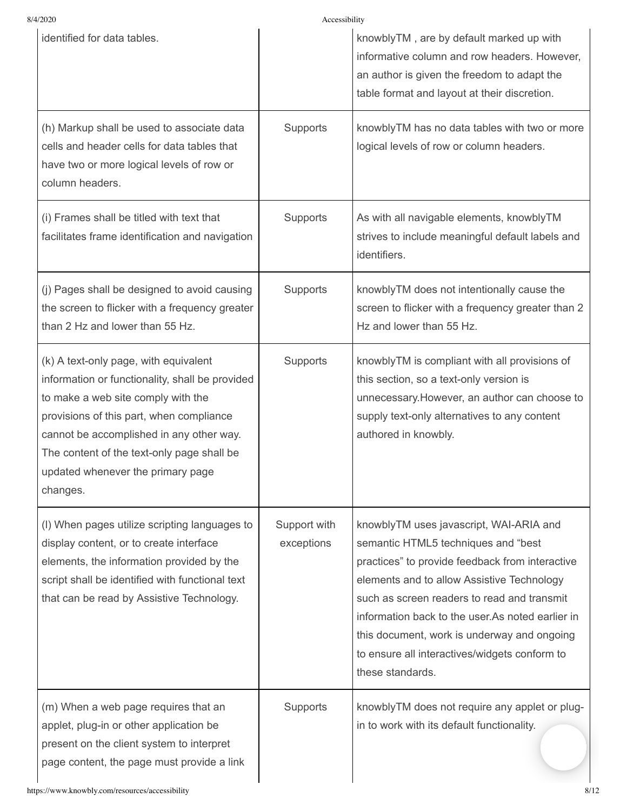8/4/2020 Accessibility

| identified for data tables.                                                                                                                                                                                                                                                                                           |                            | knowblyTM, are by default marked up with<br>informative column and row headers. However,<br>an author is given the freedom to adapt the<br>table format and layout at their discretion.                                                                                                                                                                                                                 |
|-----------------------------------------------------------------------------------------------------------------------------------------------------------------------------------------------------------------------------------------------------------------------------------------------------------------------|----------------------------|---------------------------------------------------------------------------------------------------------------------------------------------------------------------------------------------------------------------------------------------------------------------------------------------------------------------------------------------------------------------------------------------------------|
| (h) Markup shall be used to associate data<br>cells and header cells for data tables that<br>have two or more logical levels of row or<br>column headers.                                                                                                                                                             | Supports                   | knowblyTM has no data tables with two or more<br>logical levels of row or column headers.                                                                                                                                                                                                                                                                                                               |
| (i) Frames shall be titled with text that<br>facilitates frame identification and navigation                                                                                                                                                                                                                          | Supports                   | As with all navigable elements, knowblyTM<br>strives to include meaningful default labels and<br>identifiers.                                                                                                                                                                                                                                                                                           |
| (j) Pages shall be designed to avoid causing<br>the screen to flicker with a frequency greater<br>than 2 Hz and lower than 55 Hz.                                                                                                                                                                                     | Supports                   | knowblyTM does not intentionally cause the<br>screen to flicker with a frequency greater than 2<br>Hz and lower than 55 Hz.                                                                                                                                                                                                                                                                             |
| (k) A text-only page, with equivalent<br>information or functionality, shall be provided<br>to make a web site comply with the<br>provisions of this part, when compliance<br>cannot be accomplished in any other way.<br>The content of the text-only page shall be<br>updated whenever the primary page<br>changes. | Supports                   | knowblyTM is compliant with all provisions of<br>this section, so a text-only version is<br>unnecessary. However, an author can choose to<br>supply text-only alternatives to any content<br>authored in knowbly.                                                                                                                                                                                       |
| (I) When pages utilize scripting languages to<br>display content, or to create interface<br>elements, the information provided by the<br>script shall be identified with functional text<br>that can be read by Assistive Technology.                                                                                 | Support with<br>exceptions | knowblyTM uses javascript, WAI-ARIA and<br>semantic HTML5 techniques and "best<br>practices" to provide feedback from interactive<br>elements and to allow Assistive Technology<br>such as screen readers to read and transmit<br>information back to the user. As noted earlier in<br>this document, work is underway and ongoing<br>to ensure all interactives/widgets conform to<br>these standards. |
| (m) When a web page requires that an<br>applet, plug-in or other application be<br>present on the client system to interpret<br>page content, the page must provide a link                                                                                                                                            | Supports                   | knowblyTM does not require any applet or plug-<br>in to work with its default functionality.                                                                                                                                                                                                                                                                                                            |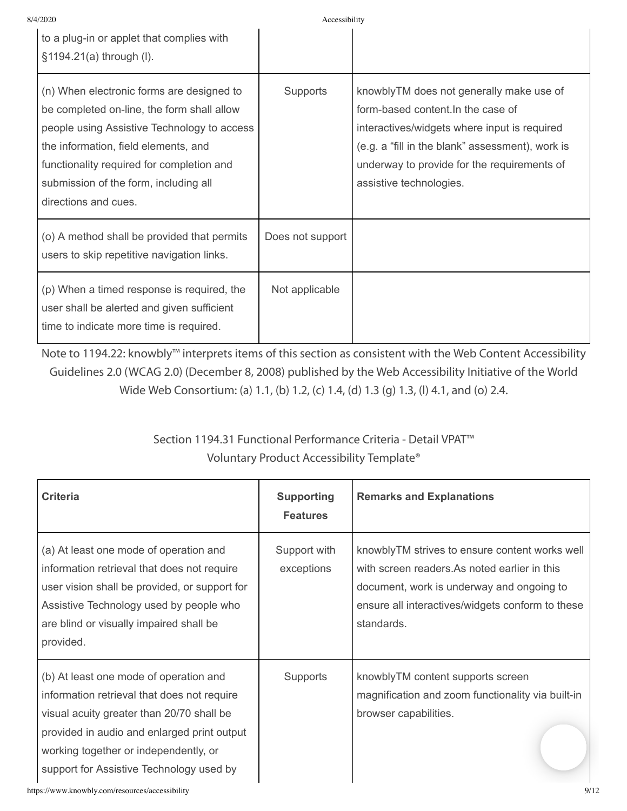| 8/4/2020 |                                                                                                                                                                                                                                                                                              | Accessibility    |                                                                                                                                                                                                                                                              |
|----------|----------------------------------------------------------------------------------------------------------------------------------------------------------------------------------------------------------------------------------------------------------------------------------------------|------------------|--------------------------------------------------------------------------------------------------------------------------------------------------------------------------------------------------------------------------------------------------------------|
|          | to a plug-in or applet that complies with<br>§1194.21(a) through (I).                                                                                                                                                                                                                        |                  |                                                                                                                                                                                                                                                              |
|          | (n) When electronic forms are designed to<br>be completed on-line, the form shall allow<br>people using Assistive Technology to access<br>the information, field elements, and<br>functionality required for completion and<br>submission of the form, including all<br>directions and cues. | Supports         | knowblyTM does not generally make use of<br>form-based content. In the case of<br>interactives/widgets where input is required<br>(e.g. a "fill in the blank" assessment), work is<br>underway to provide for the requirements of<br>assistive technologies. |
|          | (o) A method shall be provided that permits<br>users to skip repetitive navigation links.                                                                                                                                                                                                    | Does not support |                                                                                                                                                                                                                                                              |
|          | (p) When a timed response is required, the<br>user shall be alerted and given sufficient<br>time to indicate more time is required.                                                                                                                                                          | Not applicable   |                                                                                                                                                                                                                                                              |

Note to 1194.22: knowbly™ interprets items of this section as consistent with the Web Content Accessibility Guidelines 2.0 (WCAG 2.0) (December 8, 2008) published by the Web Accessibility Initiative of the World Wide Web Consortium: (a) 1.1, (b) 1.2, (c) 1.4, (d) 1.3 (g) 1.3, (l) 4.1, and (o) 2.4.

### Section 1194.31 Functional Performance Criteria - Detail VPAT™ Voluntary Product Accessibility Template®

| <b>Criteria</b>                                                                                                                                                                                                                                                        | <b>Supporting</b><br><b>Features</b> | <b>Remarks and Explanations</b>                                                                                                                                                                                |
|------------------------------------------------------------------------------------------------------------------------------------------------------------------------------------------------------------------------------------------------------------------------|--------------------------------------|----------------------------------------------------------------------------------------------------------------------------------------------------------------------------------------------------------------|
| (a) At least one mode of operation and<br>information retrieval that does not require<br>user vision shall be provided, or support for<br>Assistive Technology used by people who<br>are blind or visually impaired shall be<br>provided.                              | Support with<br>exceptions           | knowblyTM strives to ensure content works well<br>with screen readers. As noted earlier in this<br>document, work is underway and ongoing to<br>ensure all interactives/widgets conform to these<br>standards. |
| (b) At least one mode of operation and<br>information retrieval that does not require<br>visual acuity greater than 20/70 shall be<br>provided in audio and enlarged print output<br>working together or independently, or<br>support for Assistive Technology used by | Supports                             | knowblyTM content supports screen<br>magnification and zoom functionality via built-in<br>browser capabilities.                                                                                                |
| https://www.knowbly.com/resources/accessibility                                                                                                                                                                                                                        |                                      | 9/12                                                                                                                                                                                                           |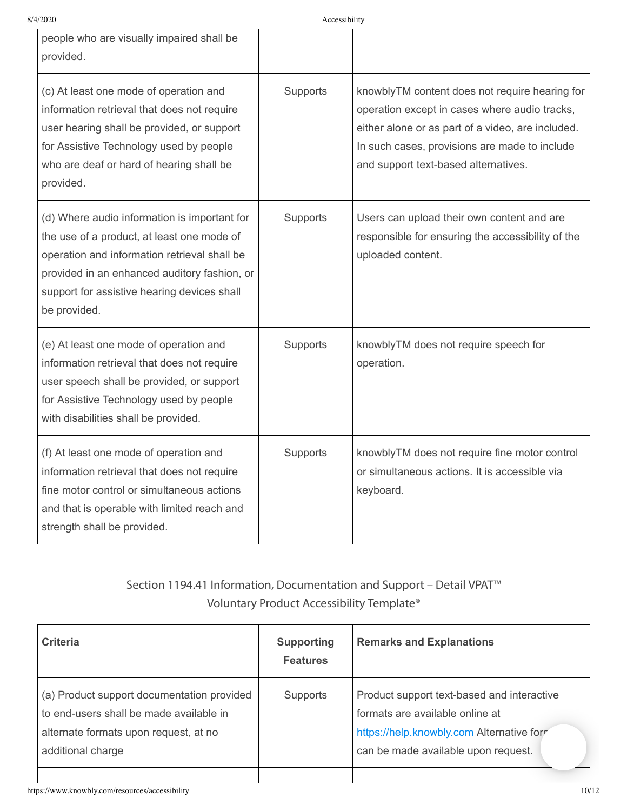#### 8/4/2020 Accessibility  $\mathbf{I}$

| people who are visually impaired shall be<br>provided.                                                                                                                                                                                                    |          |                                                                                                                                                                                                                                               |
|-----------------------------------------------------------------------------------------------------------------------------------------------------------------------------------------------------------------------------------------------------------|----------|-----------------------------------------------------------------------------------------------------------------------------------------------------------------------------------------------------------------------------------------------|
| (c) At least one mode of operation and<br>information retrieval that does not require<br>user hearing shall be provided, or support<br>for Assistive Technology used by people<br>who are deaf or hard of hearing shall be<br>provided.                   | Supports | knowblyTM content does not require hearing for<br>operation except in cases where audio tracks,<br>either alone or as part of a video, are included.<br>In such cases, provisions are made to include<br>and support text-based alternatives. |
| (d) Where audio information is important for<br>the use of a product, at least one mode of<br>operation and information retrieval shall be<br>provided in an enhanced auditory fashion, or<br>support for assistive hearing devices shall<br>be provided. | Supports | Users can upload their own content and are<br>responsible for ensuring the accessibility of the<br>uploaded content.                                                                                                                          |
| (e) At least one mode of operation and<br>information retrieval that does not require<br>user speech shall be provided, or support<br>for Assistive Technology used by people<br>with disabilities shall be provided.                                     | Supports | knowblyTM does not require speech for<br>operation.                                                                                                                                                                                           |
| (f) At least one mode of operation and<br>information retrieval that does not require<br>fine motor control or simultaneous actions<br>and that is operable with limited reach and<br>strength shall be provided.                                         | Supports | knowblyTM does not require fine motor control<br>or simultaneous actions. It is accessible via<br>keyboard.                                                                                                                                   |

### Section 1194.41 Information, Documentation and Support – Detail VPAT™ Voluntary Product Accessibility Template®

| <b>Criteria</b>                                                                                                                                     | <b>Supporting</b><br><b>Features</b> | <b>Remarks and Explanations</b>                                                                                                                                   |
|-----------------------------------------------------------------------------------------------------------------------------------------------------|--------------------------------------|-------------------------------------------------------------------------------------------------------------------------------------------------------------------|
| (a) Product support documentation provided<br>to end-users shall be made available in<br>alternate formats upon request, at no<br>additional charge | Supports                             | Product support text-based and interactive<br>formats are available online at<br>https://help.knowbly.com Alternative form<br>can be made available upon request. |
|                                                                                                                                                     |                                      |                                                                                                                                                                   |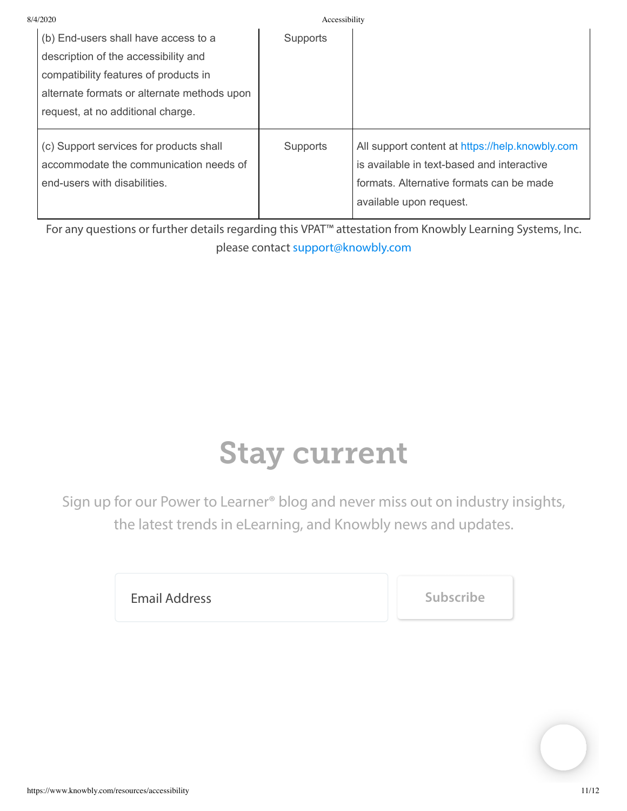| 8/4/2020 |                                             | Accessibility   |                                                 |
|----------|---------------------------------------------|-----------------|-------------------------------------------------|
|          | (b) End-users shall have access to a        | <b>Supports</b> |                                                 |
|          | description of the accessibility and        |                 |                                                 |
|          | compatibility features of products in       |                 |                                                 |
|          | alternate formats or alternate methods upon |                 |                                                 |
|          | request, at no additional charge.           |                 |                                                 |
|          |                                             |                 |                                                 |
|          | (c) Support services for products shall     | <b>Supports</b> | All support content at https://help.knowbly.com |
|          | accommodate the communication needs of      |                 | is available in text-based and interactive      |
|          | end-users with disabilities.                |                 | formats. Alternative formats can be made        |
|          |                                             |                 | available upon request.                         |
|          |                                             |                 |                                                 |

For any questions or further details regarding this VPAT™ attestation from Knowbly Learning Systems, Inc. please contact [support@knowbly.com](mailto:support@knowbly.com?subject=VPAT%20Questions)

## Stay current

Sign up for our Power to Learner® blog and never miss out on industry insights, the latest trends in eLearning, and Knowbly news and updates.

**Email Address Subscribe**